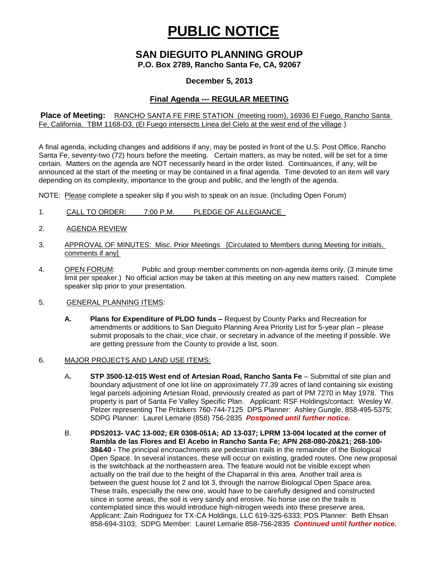# **PUBLIC NOTICE**

## **SAN DIEGUITO PLANNING GROUP**

**P.O. Box 2789, Rancho Santa Fe, CA, 92067**

#### **December 5, 2013**

### **Final Agenda --- REGULAR MEETING**

**Place of Meeting:** RANCHO SANTA FE FIRE STATION (meeting room), 16936 El Fuego, Rancho Santa Fe, California. TBM 1168-D3, (El Fuego intersects Linea del Cielo at the west end of the village.)

A final agenda, including changes and additions if any, may be posted in front of the U.S. Post Office, Rancho Santa Fe, seventy-two (72) hours before the meeting. Certain matters, as may be noted, will be set for a time certain. Matters on the agenda are NOT necessarily heard in the order listed. Continuances, if any, will be announced at the start of the meeting or may be contained in a final agenda. Time devoted to an item will vary depending on its complexity, importance to the group and public, and the length of the agenda.

NOTE: Please complete a speaker slip if you wish to speak on an issue. (Including Open Forum)

- 1. CALL TO ORDER: 7:00 P.M. PLEDGE OF ALLEGIANCE
- 2. AGENDA REVIEW
- 3. APPROVAL OF MINUTES: Misc. Prior Meetings [Circulated to Members during Meeting for initials, comments if any]
- 4. OPEN FORUM: Public and group member comments on non-agenda items only. (3 minute time limit per speaker.) No official action may be taken at this meeting on any new matters raised. Complete speaker slip prior to your presentation.
- 5. GENERAL PLANNING ITEMS:
	- **A. Plans for Expenditure of PLDO funds –** Request by County Parks and Recreation for amendments or additions to San Dieguito Planning Area Priority List for 5-year plan – please submit proposals to the chair, vice chair, or secretary in advance of the meeting if possible. We are getting pressure from the County to provide a list, soon.
- 6. MAJOR PROJECTS AND LAND USE ITEMS:
	- A**. STP 3500-12-015 West end of Artesian Road, Rancho Santa Fe** Submittal of site plan and boundary adjustment of one lot line on approximately 77.39 acres of land containing six existing legal parcels adjoining Artesian Road, previously created as part of PM 7270 in May 1978. This property is part of Santa Fe Valley Specific Plan.Applicant: RSF Holdings/contact: Wesley W. Pelzer representing The Pritzkers 760-744-7125 DPS Planner: Ashley Gungle, 858-495-5375; SDPG Planner: Laurel Lemarie (858) 756-2835 *Postponed until further notice.*
	- B. **PDS2013- VAC 13-002; ER 0308-051A; AD 13-037; LPRM 13-004 located at the corner of Rambla de las Flores and El Acebo in Rancho Santa Fe; APN 268-080-20&21; 268-100- 39&40 -** The principal encroachments are pedestrian trails in the remainder of the Biological Open Space. In several instances, these will occur on existing, graded routes. One new proposal is the switchback at the northeastern area. The feature would not be visible except when actually on the trail due to the height of the Chaparral in this area. Another trail area is between the guest house lot 2 and lot 3, through the narrow Biological Open Space area. These trails, especially the new one, would have to be carefully designed and constructed since in some areas, the soil is very sandy and erosive. No horse use on the trails is contemplated since this would introduce high-nitrogen weeds into these preserve area. Applicant: Zain Rodriguez for TX-CA Holdings, LLC 619-325-6333; PDS Planner: Beth Ehsan 858-694-3103; SDPG Member: Laurel Lemarie 858-756-2835 *Continued until further notice.*